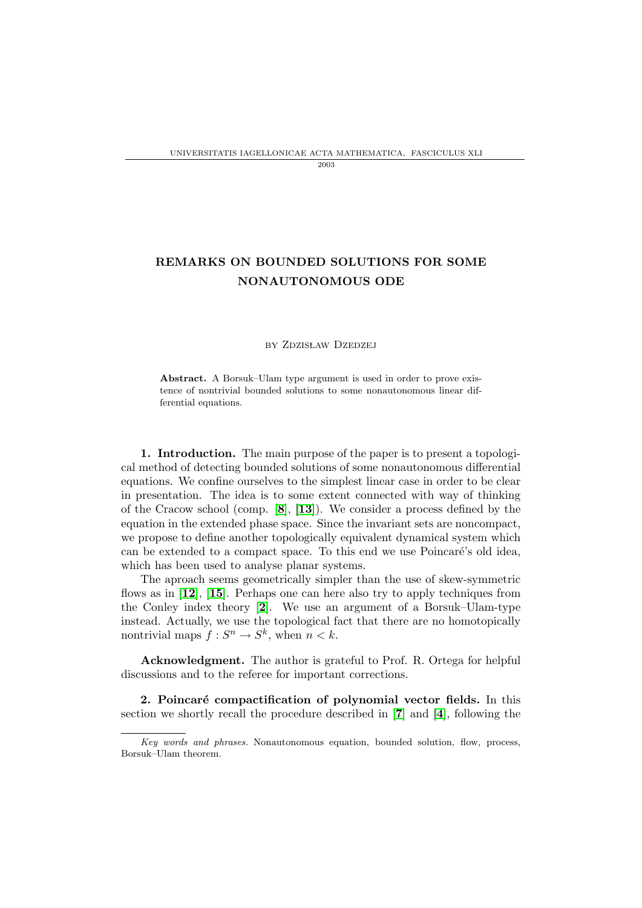## REMARKS ON BOUNDED SOLUTIONS FOR SOME NONAUTONOMOUS ODE

## by Zdzisław Dzedzej

Abstract. A Borsuk–Ulam type argument is used in order to prove existence of nontrivial bounded solutions to some nonautonomous linear differential equations.

1. Introduction. The main purpose of the paper is to present a topological method of detecting bounded solutions of some nonautonomous differential equations. We confine ourselves to the simplest linear case in order to be clear in presentation. The idea is to some extent connected with way of thinking of the Cracow school (comp. [[8](#page-5-0)], [[13](#page-5-1)]). We consider a process defined by the equation in the extended phase space. Since the invariant sets are noncompact, we propose to define another topologically equivalent dynamical system which can be extended to a compact space. To this end we use Poincaré's old idea, which has been used to analyse planar systems.

The aproach seems geometrically simpler than the use of skew-symmetric flows as in [[12](#page-5-2)], [[15](#page-5-3)]. Perhaps one can here also try to apply techniques from the Conley index theory [[2](#page-4-0)]. We use an argument of a Borsuk–Ulam-type instead. Actually, we use the topological fact that there are no homotopically nontrivial maps  $f: S^n \to S^k$ , when  $n < k$ .

Acknowledgment. The author is grateful to Prof. R. Ortega for helpful discussions and to the referee for important corrections.

<span id="page-0-0"></span>2. Poincaré compactification of polynomial vector fields. In this section we shortly recall the procedure described in [[7](#page-5-4)] and [[4](#page-4-1)], following the

Key words and phrases. Nonautonomous equation, bounded solution, flow, process, Borsuk–Ulam theorem.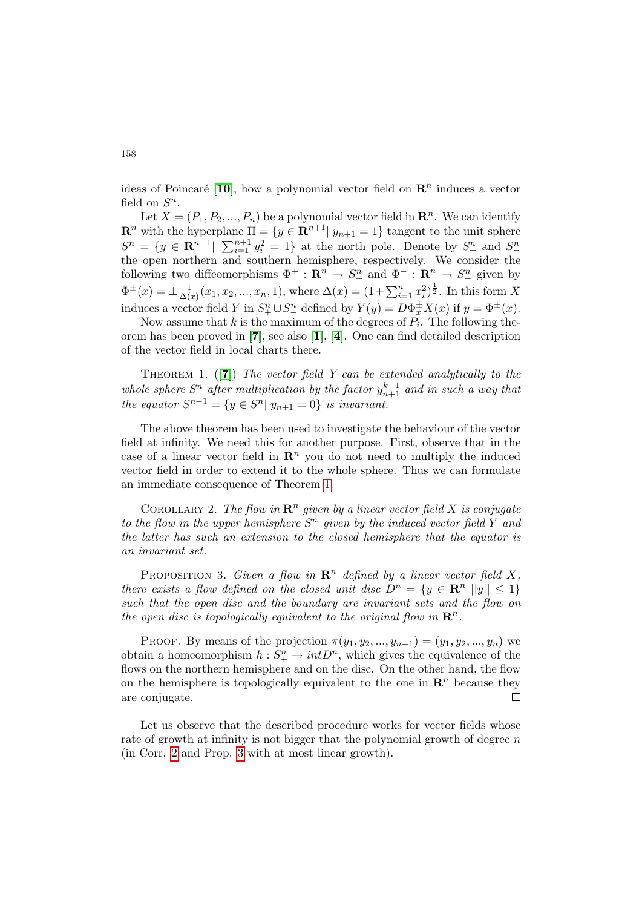ideas of Poincaré [[10](#page-5-5)], how a polynomial vector field on  $\mathbb{R}^n$  induces a vector field on  $S^n$ .

Let  $X = (P_1, P_2, ..., P_n)$  be a polynomial vector field in  $\mathbb{R}^n$ . We can identify  $\mathbf{R}^n$  with the hyperplane  $\Pi = \{y \in \mathbf{R}^{n+1} | y_{n+1} = 1\}$  tangent to the unit sphere  $S^n = \{y \in \mathbb{R}^{n+1} | \sum_{i=1}^{n+1} y_i^2 = 1\}$  at the north pole. Denote by  $S^n_+$  and  $S^n_$ the open northern and southern hemisphere, respectively. We consider the following two diffeomorphisms  $\Phi^+ : \mathbb{R}^n \to S^n_+$  and  $\Phi^- : \mathbb{R}^n \to S^n_-$  given by  $\Phi^{\pm}(x) = \pm \frac{1}{\Delta(x)}$  $\frac{1}{\Delta(x)}(x_1, x_2, ..., x_n, 1)$ , where  $\Delta(x) = (1 + \sum_{i=1}^n x_i^2)^{\frac{1}{2}}$ . In this form X induces a vector field Y in  $S^n_+ \cup S^n_-$  defined by  $Y(y) = D\Phi_x^{\pm}X(x)$  if  $y = \Phi^{\pm}(x)$ .

Now assume that  $k$  is the maximum of the degrees of  $P_i$ . The following theorem has been proved in [[7](#page-5-4)], see also [[1](#page-4-2)], [[4](#page-4-1)]. One can find detailed description of the vector field in local charts there.

<span id="page-1-0"></span>THEOREM 1.  $([7])$  $([7])$  $([7])$  The vector field Y can be extended analytically to the whole sphere  $S<sup>n</sup>$  after multiplication by the factor  $y_{n+1}^{k-1}$  and in such a way that the equator  $S^{n-1} = \{y \in S^n | y_{n+1} = 0\}$  is invariant.

The above theorem has been used to investigate the behaviour of the vector field at infinity. We need this for another purpose. First, observe that in the case of a linear vector field in  $\mathbb{R}^n$  you do not need to multiply the induced vector field in order to extend it to the whole sphere. Thus we can formulate an immediate consequence of Theorem [1.](#page-1-0)

<span id="page-1-1"></span>COROLLARY 2. The flow in  $\mathbb{R}^n$  given by a linear vector field X is conjugate to the flow in the upper hemisphere  $S_{+}^{n}$  given by the induced vector field Y and the latter has such an extension to the closed hemisphere that the equator is an invariant set.

<span id="page-1-2"></span>PROPOSITION 3. Given a flow in  $\mathbb{R}^n$  defined by a linear vector field X, there exists a flow defined on the closed unit disc  $D^n = \{y \in \mathbb{R}^n \ |y|| \leq 1\}$ such that the open disc and the boundary are invariant sets and the flow on the open disc is topologically equivalent to the original flow in  $\mathbb{R}^n$ .

PROOF. By means of the projection  $\pi(y_1, y_2, ..., y_{n+1}) = (y_1, y_2, ..., y_n)$  we obtain a homeomorphism  $h: S^n_+ \to intD^n$ , which gives the equivalence of the flows on the northern hemisphere and on the disc. On the other hand, the flow on the hemisphere is topologically equivalent to the one in  $\mathbb{R}^n$  because they are conjugate.  $\Box$ 

Let us observe that the described procedure works for vector fields whose rate of growth at infinity is not bigger that the polynomial growth of degree  $n$ (in Corr. [2](#page-1-1) and Prop. [3](#page-1-2) with at most linear growth).

158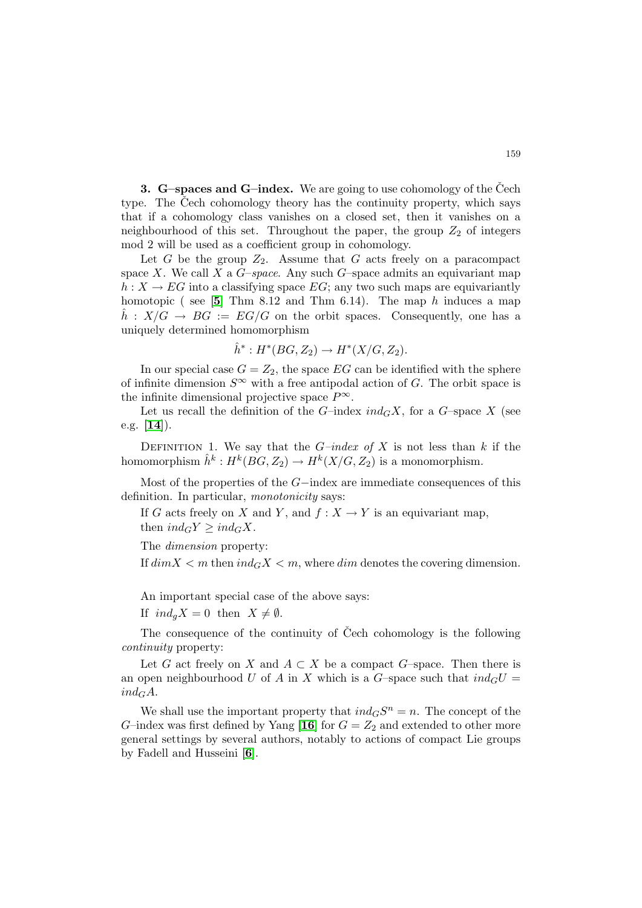**3.** G–spaces and G–index. We are going to use cohomology of the Čech type. The Cech cohomology theory has the continuity property, which says that if a cohomology class vanishes on a closed set, then it vanishes on a neighbourhood of this set. Throughout the paper, the group  $Z_2$  of integers mod 2 will be used as a coefficient group in cohomology.

Let G be the group  $Z_2$ . Assume that G acts freely on a paracompact space X. We call X a  $G$ -space. Any such  $G$ -space admits an equivariant map  $h: X \to EG$  into a classifying space  $EG$ ; any two such maps are equivariantly homotopic ( see  $[5]$  $[5]$  $[5]$  Thm 8.12 and Thm 6.14). The map h induces a map  $\hat{h}: X/G \to BG := EG/G$  on the orbit spaces. Consequently, one has a uniquely determined homomorphism

$$
\hat{h}^* : H^*(BG, Z_2) \to H^*(X/G, Z_2).
$$

In our special case  $G = Z_2$ , the space EG can be identified with the sphere of infinite dimension  $S^{\infty}$  with a free antipodal action of G. The orbit space is the infinite dimensional projective space  $P^{\infty}$ .

Let us recall the definition of the G-index  $ind_G X$ , for a G-space X (see e.g. [[14](#page-5-6)]).

DEFINITION 1. We say that the  $G$ -index of X is not less than k if the homomorphism  $\hat{h}^k: H^k(BG, Z_2) \to H^k(X/G, Z_2)$  is a monomorphism.

Most of the properties of the G−index are immediate consequences of this definition. In particular, *monotonicity* says:

If G acts freely on X and Y, and  $f: X \to Y$  is an equivariant map, then  $ind_G Y \geq ind_G X$ .

The dimension property:

If  $dim X < m$  then  $ind_G X < m$ , where dim denotes the covering dimension.

An important special case of the above says:

If  $ind_{a} X = 0$  then  $X \neq \emptyset$ .

The consequence of the continuity of Čech cohomology is the following continuity property:

Let G act freely on X and  $A \subset X$  be a compact G–space. Then there is an open neighbourhood U of A in X which is a G-space such that  $ind_G U =$  $ind_G A$ .

We shall use the important property that  $ind_G S^n = n$ . The concept of the G-index was first defined by Yang [[16](#page-5-7)] for  $G = Z_2$  and extended to other more general settings by several authors, notably to actions of compact Lie groups by Fadell and Husseini [[6](#page-4-4)].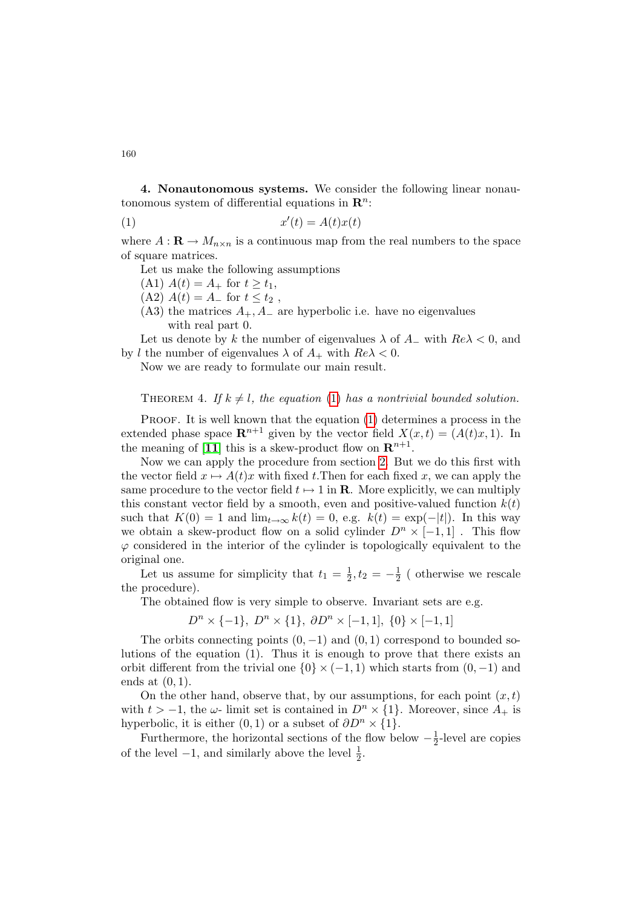4. Nonautonomous systems. We consider the following linear nonautonomous system of differential equations in  $\mathbb{R}^n$ :

$$
(1) \t x'(t) = A(t)x(t)
$$

where  $A: \mathbf{R} \to M_{n \times n}$  is a continuous map from the real numbers to the space of square matrices.

<span id="page-3-0"></span>Let us make the following assumptions

(A1)  $A(t) = A_+$  for  $t \ge t_1$ ,

 $(A2) A(t) = A$ <sub>-</sub> for  $t \leq t_2$ ,

(A3) the matrices  $A_+, A_-$  are hyperbolic i.e. have no eigenvalues with real part 0.

Let us denote by k the number of eigenvalues  $\lambda$  of  $A_-\$  with  $Re\lambda < 0$ , and by l the number of eigenvalues  $\lambda$  of  $A_+$  with  $Re\lambda < 0$ .

Now we are ready to formulate our main result.

THEOREM 4. If  $k \neq l$ , the equation [\(1\)](#page-3-0) has a nontrivial bounded solution.

PROOF. It is well known that the equation [\(1\)](#page-3-0) determines a process in the extended phase space  $\mathbf{R}^{n+1}$  given by the vector field  $X(x, t) = (A(t)x, 1)$ . In the meaning of [[11](#page-5-8)] this is a skew-product flow on  $\mathbb{R}^{n+1}$ .

Now we can apply the procedure from section [2.](#page-0-0) But we do this first with the vector field  $x \mapsto A(t)x$  with fixed t. Then for each fixed x, we can apply the same procedure to the vector field  $t \mapsto 1$  in **R**. More explicitly, we can multiply this constant vector field by a smooth, even and positive-valued function  $k(t)$ such that  $K(0) = 1$  and  $\lim_{t\to\infty} k(t) = 0$ , e.g.  $k(t) = \exp(-|t|)$ . In this way we obtain a skew-product flow on a solid cylinder  $D^n \times [-1,1]$ . This flow  $\varphi$  considered in the interior of the cylinder is topologically equivalent to the original one.

Let us assume for simplicity that  $t_1 = \frac{1}{2}$  $\frac{1}{2}, t_2 = -\frac{1}{2}$  $\frac{1}{2}$  (otherwise we rescale the procedure).

The obtained flow is very simple to observe. Invariant sets are e.g.

 $D^{n} \times \{-1\}, D^{n} \times \{1\}, \partial D^{n} \times [-1,1], \{0\} \times [-1,1]$ 

The orbits connecting points  $(0, -1)$  and  $(0, 1)$  correspond to bounded solutions of the equation (1). Thus it is enough to prove that there exists an orbit different from the trivial one  $\{0\} \times (-1,1)$  which starts from  $(0,-1)$  and ends at  $(0, 1)$ .

On the other hand, observe that, by our assumptions, for each point  $(x, t)$ with  $t > -1$ , the  $\omega$ - limit set is contained in  $D^n \times \{1\}$ . Moreover, since  $A_+$  is hyperbolic, it is either  $(0, 1)$  or a subset of  $\partial D^n \times \{1\}$ .

Furthermore, the horizontal sections of the flow below  $-\frac{1}{2}$  $\frac{1}{2}$ -level are copies of the level  $-1$ , and similarly above the level  $\frac{1}{2}$ .

160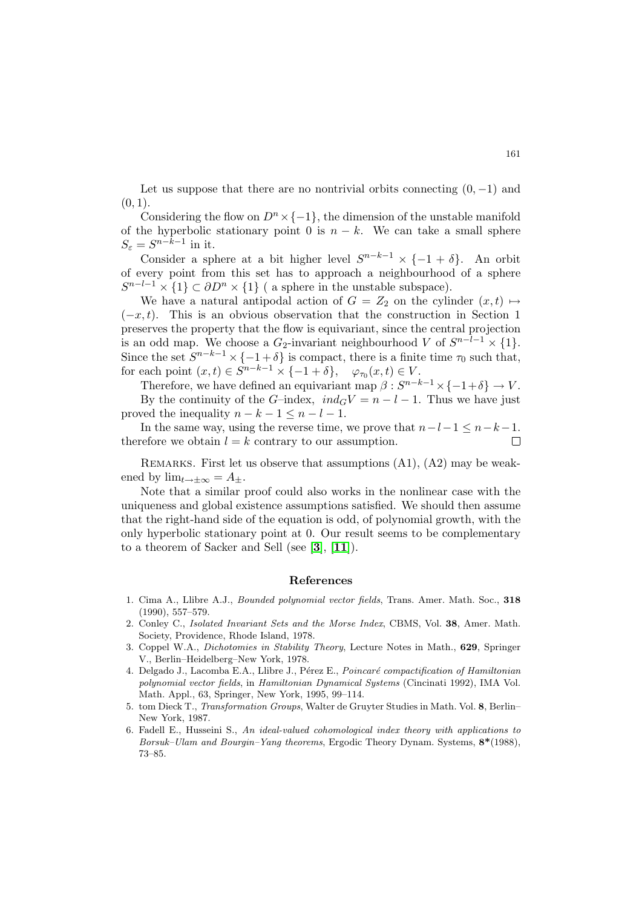Let us suppose that there are no nontrivial orbits connecting  $(0, -1)$  and  $(0, 1)$ .

Considering the flow on  $D^n \times \{-1\}$ , the dimension of the unstable manifold of the hyperbolic stationary point 0 is  $n - k$ . We can take a small sphere  $S_{\varepsilon} = S^{n-k-1}$  in it.

Consider a sphere at a bit higher level  $S^{n-k-1} \times \{-1+\delta\}$ . An orbit of every point from this set has to approach a neighbourhood of a sphere  $S^{n-l-1} \times \{1\} \subset \partial D^n \times \{1\}$  ( a sphere in the unstable subspace).

We have a natural antipodal action of  $G = Z_2$  on the cylinder  $(x, t) \mapsto$  $(-x, t)$ . This is an obvious observation that the construction in Section 1 preserves the property that the flow is equivariant, since the central projection is an odd map. We choose a  $G_2$ -invariant neighbourhood V of  $S^{n-l-1} \times \{1\}$ . Since the set  $S^{n-k-1} \times \{-1+\delta\}$  is compact, there is a finite time  $\tau_0$  such that, for each point  $(x,t) \in S^{n-k-1} \times \{-1+\delta\}, \quad \varphi_{\tau_0}(x,t) \in V.$ 

Therefore, we have defined an equivariant map  $\beta: S^{n-k-1} \times \{-1+\delta\} \to V$ . By the continuity of the G–index,  $ind_G V = n - l - 1$ . Thus we have just

proved the inequality  $n - k - 1 \leq n - l - 1$ .

In the same way, using the reverse time, we prove that  $n-l-1 \leq n-k-1$ . therefore we obtain  $l = k$  contrary to our assumption.  $\Box$ 

REMARKS. First let us observe that assumptions  $(A1)$ ,  $(A2)$  may be weakened by  $\lim_{t\to+\infty}$  =  $A_{+}$ .

Note that a similar proof could also works in the nonlinear case with the uniqueness and global existence assumptions satisfied. We should then assume that the right-hand side of the equation is odd, of polynomial growth, with the only hyperbolic stationary point at 0. Our result seems to be complementary to a theorem of Sacker and Sell (see  $[3]$  $[3]$  $[3]$ ,  $[11]$  $[11]$  $[11]$ ).

## References

- <span id="page-4-2"></span>1. Cima A., Llibre A.J., Bounded polynomial vector fields, Trans. Amer. Math. Soc., 318 (1990), 557–579.
- <span id="page-4-0"></span>2. Conley C., Isolated Invariant Sets and the Morse Index, CBMS, Vol. 38, Amer. Math. Society, Providence, Rhode Island, 1978.
- <span id="page-4-5"></span>3. Coppel W.A., Dichotomies in Stability Theory, Lecture Notes in Math., 629, Springer V., Berlin–Heidelberg–New York, 1978.
- <span id="page-4-1"></span>4. Delgado J., Lacomba E.A., Llibre J., Pérez E., Poincaré compactification of Hamiltonian polynomial vector fields, in Hamiltonian Dynamical Systems (Cincinati 1992), IMA Vol. Math. Appl., 63, Springer, New York, 1995, 99–114.
- <span id="page-4-3"></span>5. tom Dieck T., Transformation Groups, Walter de Gruyter Studies in Math. Vol. 8, Berlin– New York, 1987.
- <span id="page-4-4"></span>6. Fadell E., Husseini S., An ideal-valued cohomological index theory with applications to Borsuk–Ulam and Bourgin–Yang theorems, Ergodic Theory Dynam. Systems,  $8*(1988)$ , 73–85.